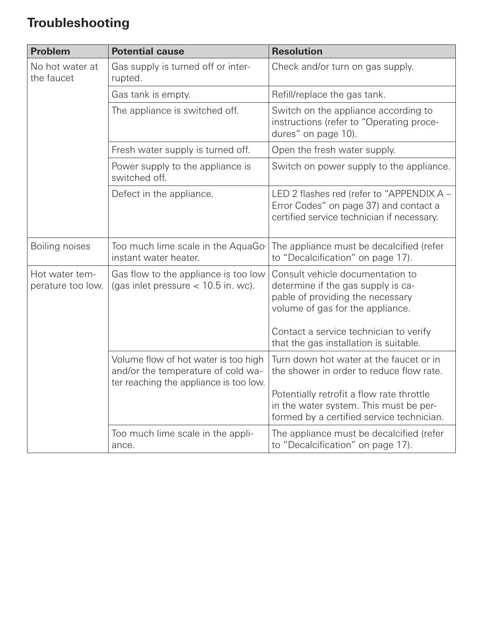## **Troubleshooting**

| <b>Problem</b>                      | <b>Potential cause</b>                                                                                               | <b>Resolution</b>                                                                                                                                                                        |
|-------------------------------------|----------------------------------------------------------------------------------------------------------------------|------------------------------------------------------------------------------------------------------------------------------------------------------------------------------------------|
| No hot water at<br>the faucet       | Gas supply is turned off or inter-<br>rupted.                                                                        | Check and/or turn on gas supply.                                                                                                                                                         |
|                                     | Gas tank is empty.                                                                                                   | Refill/replace the gas tank.                                                                                                                                                             |
|                                     | The appliance is switched off.                                                                                       | Switch on the appliance according to<br>instructions (refer to "Operating proce-<br>dures" on page 10).                                                                                  |
|                                     | Fresh water supply is turned off.                                                                                    | Open the fresh water supply.                                                                                                                                                             |
|                                     | Power supply to the appliance is<br>switched off.                                                                    | Switch on power supply to the appliance.                                                                                                                                                 |
|                                     | Defect in the appliance.                                                                                             | LED 2 flashes red (refer to "APPENDIX A -<br>Error Codes" on page 37) and contact a<br>certified service technician if necessary.                                                        |
| Boiling noises                      | Too much lime scale in the AquaGo<br>instant water heater.                                                           | The appliance must be decalcified (refer<br>to "Decalcification" on page 17).                                                                                                            |
| Hot water tem-<br>perature too low. | Gas flow to the appliance is too low<br>(gas inlet pressure $<$ 10.5 in. wc).                                        | Consult vehicle documentation to<br>determine if the gas supply is ca-<br>pable of providing the necessary<br>volume of gas for the appliance.<br>Contact a service technician to verify |
|                                     |                                                                                                                      | that the gas installation is suitable.                                                                                                                                                   |
|                                     | Volume flow of hot water is too high<br>and/or the temperature of cold wa-<br>ter reaching the appliance is too low. | Turn down hot water at the faucet or in<br>the shower in order to reduce flow rate.                                                                                                      |
|                                     |                                                                                                                      | Potentially retrofit a flow rate throttle<br>in the water system. This must be per-<br>formed by a certified service technician.                                                         |
|                                     | Too much lime scale in the appli-<br>ance.                                                                           | The appliance must be decalcified (refer<br>to "Decalcification" on page 17).                                                                                                            |